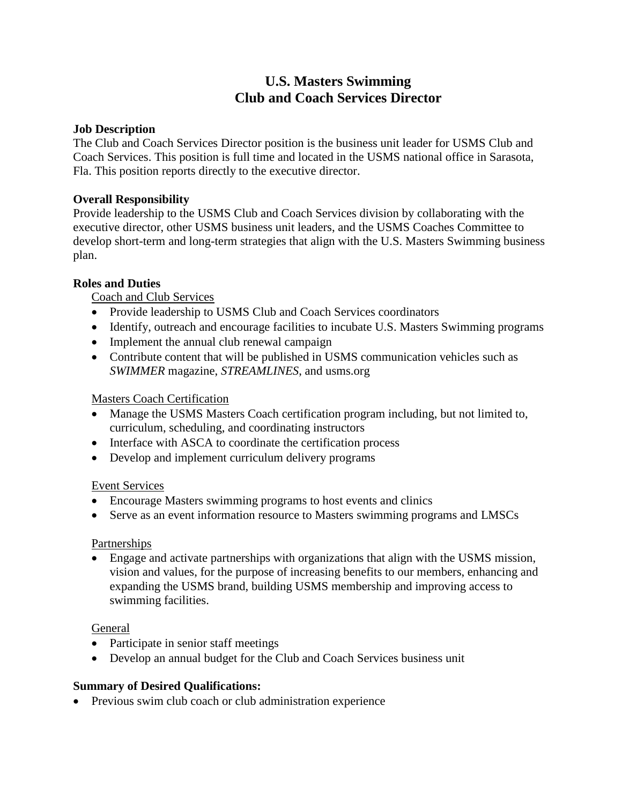# **U.S. Masters Swimming Club and Coach Services Director**

#### **Job Description**

The Club and Coach Services Director position is the business unit leader for USMS Club and Coach Services. This position is full time and located in the USMS national office in Sarasota, Fla. This position reports directly to the executive director.

#### **Overall Responsibility**

Provide leadership to the USMS Club and Coach Services division by collaborating with the executive director, other USMS business unit leaders, and the USMS Coaches Committee to develop short-term and long-term strategies that align with the U.S. Masters Swimming business plan.

## **Roles and Duties**

Coach and Club Services

- Provide leadership to USMS Club and Coach Services coordinators
- Identify, outreach and encourage facilities to incubate U.S. Masters Swimming programs
- Implement the annual club renewal campaign
- Contribute content that will be published in USMS communication vehicles such as *SWIMMER* magazine, *STREAMLINES*, and usms.org

### Masters Coach Certification

- Manage the USMS Masters Coach certification program including, but not limited to, curriculum, scheduling, and coordinating instructors
- Interface with ASCA to coordinate the certification process
- Develop and implement curriculum delivery programs

#### Event Services

- Encourage Masters swimming programs to host events and clinics
- Serve as an event information resource to Masters swimming programs and LMSCs

#### **Partnerships**

 Engage and activate partnerships with organizations that align with the USMS mission, vision and values, for the purpose of increasing benefits to our members, enhancing and expanding the USMS brand, building USMS membership and improving access to swimming facilities.

#### General

- Participate in senior staff meetings
- Develop an annual budget for the Club and Coach Services business unit

#### **Summary of Desired Qualifications:**

• Previous swim club coach or club administration experience